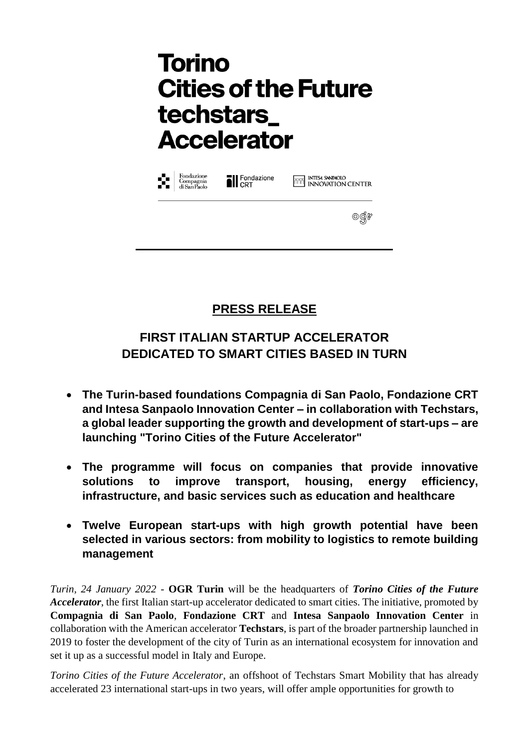| Fondazione<br>Compagnia<br>di San Paolo<br>ŵ. | <b>Il</b> Fondazione | <b>THESA SANDAOLO</b><br><b>INNOVATION CENTER</b> |
|-----------------------------------------------|----------------------|---------------------------------------------------|
|                                               |                      |                                                   |

### **PRESS RELEASE**

## **FIRST ITALIAN STARTUP ACCELERATOR DEDICATED TO SMART CITIES BASED IN TURN**

- **The Turin-based foundations Compagnia di San Paolo, Fondazione CRT and Intesa Sanpaolo Innovation Center – in collaboration with Techstars, a global leader supporting the growth and development of start-ups – are launching "Torino Cities of the Future Accelerator"**
- **The programme will focus on companies that provide innovative solutions to improve transport, housing, energy efficiency, infrastructure, and basic services such as education and healthcare**
- **Twelve European start-ups with high growth potential have been selected in various sectors: from mobility to logistics to remote building management**

*Turin, 24 January 2022* - **OGR Turin** will be the headquarters of *Torino Cities of the Future Accelerator*, the first Italian start-up accelerator dedicated to smart cities. The initiative, promoted by **Compagnia di San Paolo**, **Fondazione CRT** and **Intesa Sanpaolo Innovation Center** in collaboration with the American accelerator **Techstars**, is part of the broader partnership launched in 2019 to foster the development of the city of Turin as an international ecosystem for innovation and set it up as a successful model in Italy and Europe.

*Torino Cities of the Future Accelerator*, an offshoot of Techstars Smart Mobility that has already accelerated 23 international start-ups in two years, will offer ample opportunities for growth to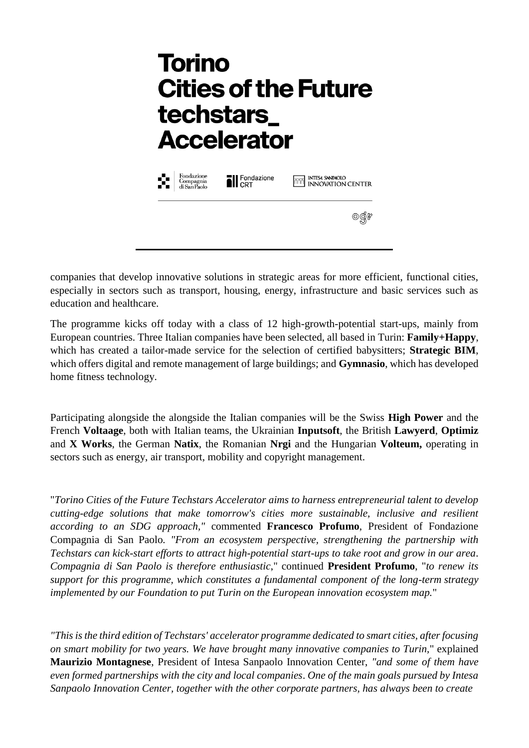| Fondazione<br>Compagnia<br>di SanPaolo<br>81 | <b>TI</b> Fondazione | <b>THE INTESA SANPAOLO</b><br><b>INNOVATION CENTER</b> |
|----------------------------------------------|----------------------|--------------------------------------------------------|
|                                              |                      |                                                        |

companies that develop innovative solutions in strategic areas for more efficient, functional cities, especially in sectors such as transport, housing, energy, infrastructure and basic services such as education and healthcare.

The programme kicks off today with a class of 12 high-growth-potential start-ups, mainly from European countries. Three Italian companies have been selected, all based in Turin: **Family+Happy**, which has created a tailor-made service for the selection of certified babysitters; **Strategic BIM**, which offers digital and remote management of large buildings; and **Gymnasio**, which has developed home fitness technology.

Participating alongside the alongside the Italian companies will be the Swiss **High Power** and the French **Voltaage**, both with Italian teams, the Ukrainian **Inputsoft**, the British **Lawyerd**, **Optimiz** and **X Works**, the German **Natix**, the Romanian **Nrgi** and the Hungarian **Volteum,** operating in sectors such as energy, air transport, mobility and copyright management.

"*Torino Cities of the Future Techstars Accelerator aims to harness entrepreneurial talent to develop cutting-edge solutions that make tomorrow's cities more sustainable, inclusive and resilient according to an SDG approach,"* commented **Francesco Profumo**, President of Fondazione Compagnia di San Paolo*. "From an ecosystem perspective, strengthening the partnership with Techstars can kick-start efforts to attract high-potential start-ups to take root and grow in our area*. *Compagnia di San Paolo is therefore enthusiastic*," continued **President Profumo**, "*to renew its support for this programme, which constitutes a fundamental component of the long-term strategy implemented by our Foundation to put Turin on the European innovation ecosystem map.*"

*"This is the third edition of Techstars' accelerator programme dedicated to smart cities, after focusing on smart mobility for two years. We have brought many innovative companies to Turin,*" explained **Maurizio Montagnese**, President of Intesa Sanpaolo Innovation Center, *"and some of them have even formed partnerships with the city and local companies*. *One of the main goals pursued by Intesa Sanpaolo Innovation Center, together with the other corporate partners, has always been to create*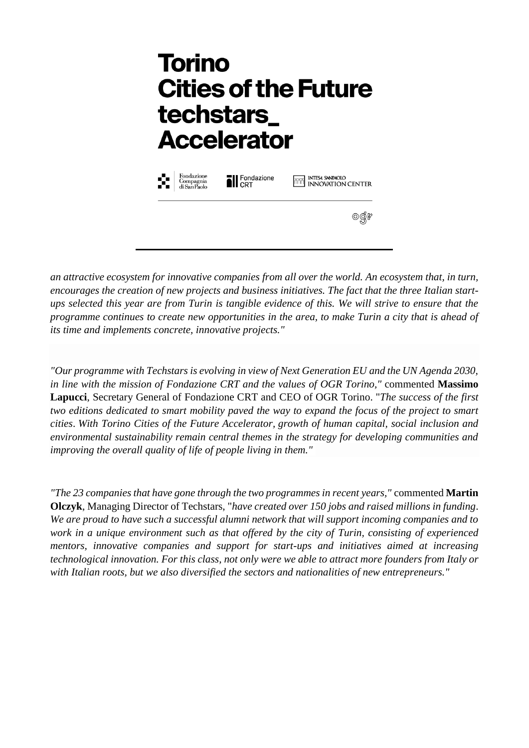| Fondazione<br>Х.<br>Compagnia<br>di San Paolo | <b>N</b> Fondazione | <b>THE INTESA SANPAOLO</b><br>THE INNOVATION CENTER |
|-----------------------------------------------|---------------------|-----------------------------------------------------|
|                                               |                     |                                                     |

*an attractive ecosystem for innovative companies from all over the world. An ecosystem that, in turn, encourages the creation of new projects and business initiatives. The fact that the three Italian startups selected this year are from Turin is tangible evidence of this. We will strive to ensure that the programme continues to create new opportunities in the area, to make Turin a city that is ahead of its time and implements concrete, innovative projects."*

*"Our programme with Techstars is evolving in view of Next Generation EU and the UN Agenda 2030, in line with the mission of Fondazione CRT and the values of OGR Torino,"* commented **Massimo Lapucci**, Secretary General of Fondazione CRT and CEO of OGR Torino. "*The success of the first two editions dedicated to smart mobility paved the way to expand the focus of the project to smart cities*. *With Torino Cities of the Future Accelerator, growth of human capital, social inclusion and environmental sustainability remain central themes in the strategy for developing communities and improving the overall quality of life of people living in them."*

*"The 23 companies that have gone through the two programmes in recent years,"* commented **Martin Olczyk**, Managing Director of Techstars, "*have created over 150 jobs and raised millions in funding*. *We are proud to have such a successful alumni network that will support incoming companies and to work in a unique environment such as that offered by the city of Turin, consisting of experienced mentors, innovative companies and support for start-ups and initiatives aimed at increasing technological innovation. For this class, not only were we able to attract more founders from Italy or with Italian roots, but we also diversified the sectors and nationalities of new entrepreneurs."*